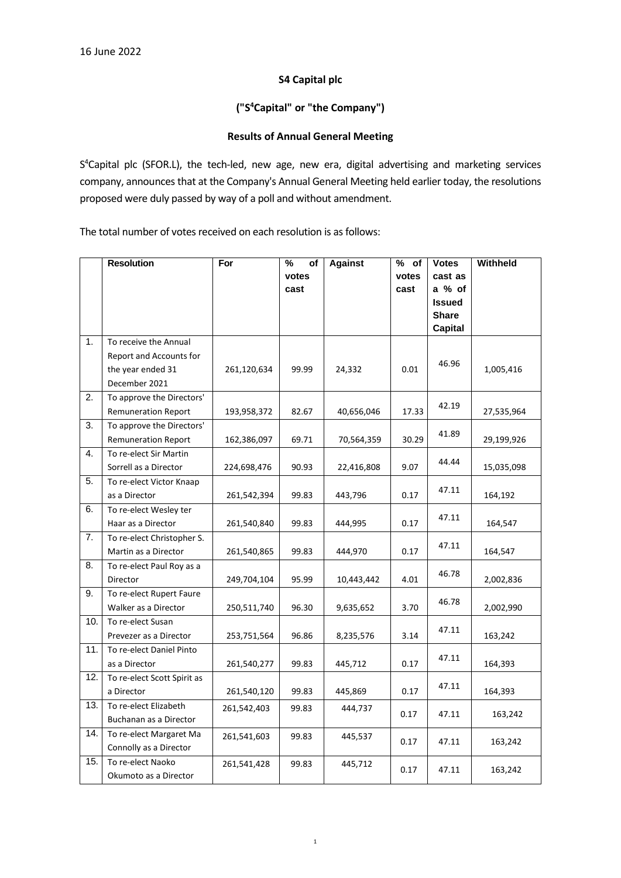### **S4 Capital plc**

# **("S <sup>4</sup>Capital" or "the Company")**

### **Results of Annual General Meeting**

S<sup>4</sup>Capital plc (SFOR.L), the tech-led, new age, new era, digital advertising and marketing services company, announces that at the Company's Annual General Meeting held earlier today, the resolutions proposed were duly passed by way of a poll and without amendment.

The total number of votes received on each resolution is as follows:

|     | <b>Resolution</b>           | For         | $\frac{9}{6}$<br>of | <b>Against</b> | $\sqrt[9]{2}$ of | <b>Votes</b>   | <b>Withheld</b> |
|-----|-----------------------------|-------------|---------------------|----------------|------------------|----------------|-----------------|
|     |                             |             | votes               |                | votes            | cast as        |                 |
|     |                             |             | cast                |                | cast             | a % of         |                 |
|     |                             |             |                     |                |                  | <b>Issued</b>  |                 |
|     |                             |             |                     |                |                  | <b>Share</b>   |                 |
|     |                             |             |                     |                |                  | <b>Capital</b> |                 |
| 1.  | To receive the Annual       |             |                     |                |                  |                |                 |
|     | Report and Accounts for     |             |                     |                |                  | 46.96          |                 |
|     | the year ended 31           | 261,120,634 | 99.99               | 24,332         | 0.01             |                | 1,005,416       |
|     | December 2021               |             |                     |                |                  |                |                 |
| 2.  | To approve the Directors'   |             |                     |                |                  |                |                 |
|     | <b>Remuneration Report</b>  | 193,958,372 | 82.67               | 40,656,046     | 17.33            | 42.19          | 27,535,964      |
| 3.  | To approve the Directors'   |             |                     |                |                  |                |                 |
|     | <b>Remuneration Report</b>  | 162,386,097 | 69.71               | 70,564,359     | 30.29            | 41.89          | 29,199,926      |
| 4.  | To re-elect Sir Martin      |             |                     |                |                  | 44.44          |                 |
|     | Sorrell as a Director       | 224,698,476 | 90.93               | 22,416,808     | 9.07             |                | 15,035,098      |
| 5.  | To re-elect Victor Knaap    |             |                     |                |                  | 47.11          |                 |
|     | as a Director               | 261,542,394 | 99.83               | 443,796        | 0.17             |                | 164,192         |
| 6.  | To re-elect Wesley ter      |             |                     |                |                  | 47.11          |                 |
|     | Haar as a Director          | 261,540,840 | 99.83               | 444,995        | 0.17             |                | 164,547         |
| 7.  | To re-elect Christopher S.  |             |                     |                |                  | 47.11          |                 |
|     | Martin as a Director        | 261,540,865 | 99.83               | 444,970        | 0.17             |                | 164,547         |
| 8.  | To re-elect Paul Roy as a   |             |                     |                |                  | 46.78          |                 |
|     | Director                    | 249,704,104 | 95.99               | 10,443,442     | 4.01             |                | 2,002,836       |
| 9.  | To re-elect Rupert Faure    |             |                     |                |                  | 46.78          |                 |
|     | Walker as a Director        | 250,511,740 | 96.30               | 9,635,652      | 3.70             |                | 2,002,990       |
| 10. | To re-elect Susan           |             |                     |                |                  | 47.11          |                 |
|     | Prevezer as a Director      | 253,751,564 | 96.86               | 8,235,576      | 3.14             |                | 163,242         |
| 11. | To re-elect Daniel Pinto    |             |                     |                |                  | 47.11          |                 |
|     | as a Director               | 261,540,277 | 99.83               | 445,712        | 0.17             |                | 164,393         |
| 12. | To re-elect Scott Spirit as |             |                     |                |                  | 47.11          |                 |
|     | a Director                  | 261,540,120 | 99.83               | 445,869        | 0.17             |                | 164,393         |
| 13. | To re-elect Elizabeth       | 261,542,403 | 99.83               | 444,737        | 0.17             | 47.11          | 163,242         |
|     | Buchanan as a Director      |             |                     |                |                  |                |                 |
| 14. | To re-elect Margaret Ma     | 261,541,603 | 99.83               | 445,537        | 0.17             | 47.11          | 163,242         |
|     | Connolly as a Director      |             |                     |                |                  |                |                 |
| 15. | To re-elect Naoko           | 261,541,428 | 99.83               | 445,712        | 0.17             | 47.11          | 163,242         |
|     | Okumoto as a Director       |             |                     |                |                  |                |                 |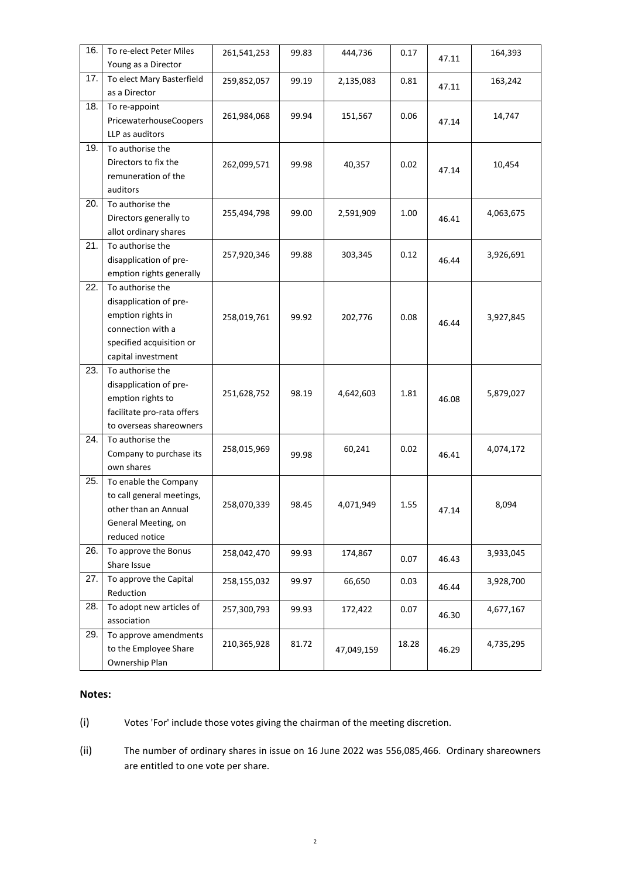| 16. | To re-elect Peter Miles    | 261,541,253 | 99.83 | 444,736    | 0.17  | 47.11 | 164,393   |
|-----|----------------------------|-------------|-------|------------|-------|-------|-----------|
|     | Young as a Director        |             |       |            |       |       |           |
| 17. | To elect Mary Basterfield  | 259,852,057 | 99.19 | 2,135,083  | 0.81  | 47.11 | 163,242   |
|     | as a Director              |             |       |            |       |       |           |
| 18. | To re-appoint              | 261,984,068 | 99.94 | 151,567    | 0.06  |       | 14,747    |
|     | PricewaterhouseCoopers     |             |       |            |       | 47.14 |           |
|     | LLP as auditors            |             |       |            |       |       |           |
| 19. | To authorise the           |             |       |            |       |       |           |
|     | Directors to fix the       | 262,099,571 | 99.98 | 40,357     | 0.02  | 47.14 | 10,454    |
|     | remuneration of the        |             |       |            |       |       |           |
|     | auditors                   |             |       |            |       |       |           |
| 20. | To authorise the           |             |       |            |       |       |           |
|     | Directors generally to     | 255,494,798 | 99.00 | 2,591,909  | 1.00  | 46.41 | 4,063,675 |
|     | allot ordinary shares      |             |       |            |       |       |           |
| 21. | To authorise the           |             |       |            |       |       |           |
|     | disapplication of pre-     | 257,920,346 | 99.88 | 303,345    | 0.12  | 46.44 | 3,926,691 |
|     | emption rights generally   |             |       |            |       |       |           |
| 22. | To authorise the           |             |       |            |       |       |           |
|     | disapplication of pre-     |             |       |            |       |       |           |
|     | emption rights in          | 258,019,761 | 99.92 | 202,776    | 0.08  | 46.44 | 3,927,845 |
|     | connection with a          |             |       |            |       |       |           |
|     | specified acquisition or   |             |       |            |       |       |           |
|     | capital investment         |             |       |            |       |       |           |
| 23. | To authorise the           |             |       |            |       |       |           |
|     | disapplication of pre-     |             |       |            | 1.81  |       |           |
|     | emption rights to          | 251,628,752 | 98.19 | 4,642,603  |       | 46.08 | 5,879,027 |
|     | facilitate pro-rata offers |             |       |            |       |       |           |
|     | to overseas shareowners    |             |       |            |       |       |           |
| 24. | To authorise the           |             |       |            | 0.02  |       |           |
|     | Company to purchase its    | 258,015,969 | 99.98 | 60,241     |       | 46.41 | 4,074,172 |
|     | own shares                 |             |       |            |       |       |           |
| 25. | To enable the Company      |             |       |            |       |       |           |
|     | to call general meetings,  | 258,070,339 | 98.45 | 4,071,949  | 1.55  |       | 8,094     |
|     | other than an Annual       |             |       |            |       | 47.14 |           |
|     | General Meeting, on        |             |       |            |       |       |           |
|     | reduced notice             |             |       |            |       |       |           |
| 26. | To approve the Bonus       | 258,042,470 | 99.93 | 174,867    | 0.07  | 46.43 | 3,933,045 |
|     | Share Issue                |             |       |            |       |       |           |
| 27. | To approve the Capital     | 258,155,032 | 99.97 | 66,650     | 0.03  | 46.44 | 3,928,700 |
|     | Reduction                  |             |       |            |       |       |           |
| 28. | To adopt new articles of   | 257,300,793 | 99.93 | 172,422    | 0.07  | 46.30 | 4,677,167 |
|     | association                |             |       |            |       |       |           |
| 29. | To approve amendments      | 210,365,928 | 81.72 |            | 18.28 |       | 4,735,295 |
|     | to the Employee Share      |             |       | 47,049,159 |       | 46.29 |           |
|     | Ownership Plan             |             |       |            |       |       |           |

#### **Notes:**

(i) Votes 'For' include those votes giving the chairman of the meeting discretion.

(ii) The number of ordinary shares in issue on 16 June 2022 was 556,085,466. Ordinary shareowners are entitled to one vote per share.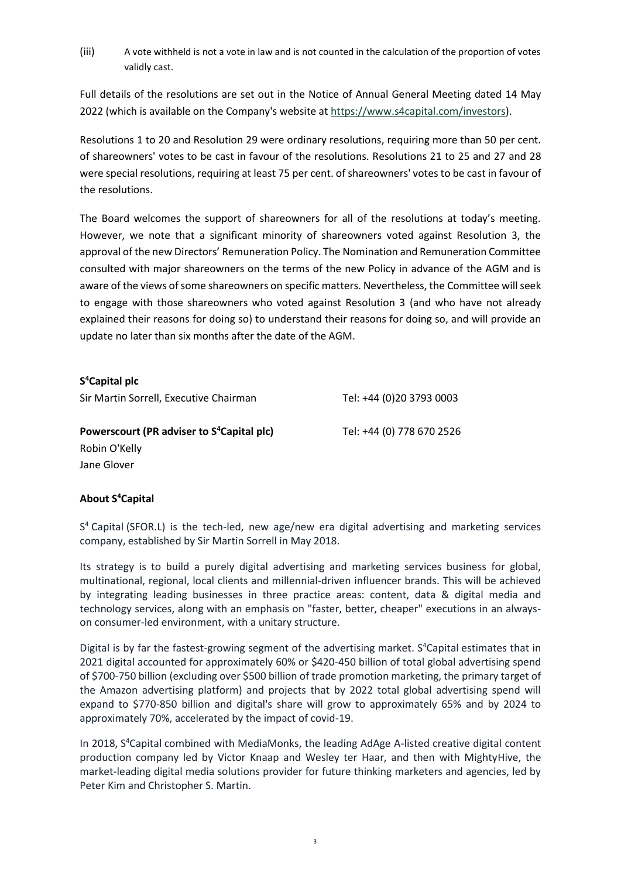(iii) A vote withheld is not a vote in law and is not counted in the calculation of the proportion of votes validly cast.

Full details of the resolutions are set out in the Notice of Annual General Meeting dated 14 May 2022 (which is available on the Company's website at [https://www.s4capital.com/investors\)](https://www.s4capital.com/investors).

Resolutions 1 to 20 and Resolution 29 were ordinary resolutions, requiring more than 50 per cent. of shareowners' votes to be cast in favour of the resolutions. Resolutions 21 to 25 and 27 and 28 were special resolutions, requiring at least 75 per cent. of shareowners' votes to be cast in favour of the resolutions.

The Board welcomes the support of shareowners for all of the resolutions at today's meeting. However, we note that a significant minority of shareowners voted against Resolution 3, the approval of the new Directors' Remuneration Policy. The Nomination and Remuneration Committee consulted with major shareowners on the terms of the new Policy in advance of the AGM and is aware of the views of some shareowners on specific matters. Nevertheless, the Committee will seek to engage with those shareowners who voted against Resolution 3 (and who have not already explained their reasons for doing so) to understand their reasons for doing so, and will provide an update no later than six months after the date of the AGM.

# **S <sup>4</sup>Capital plc**

Sir Martin Sorrell, Executive Chairman Tel: +44 (0)20 3793 0003

**<sup>4</sup>Capital plc)** Tel: +44 (0) 778 670 2526

**Powerscourt (PR adviser to S** Robin O'Kelly Jane Glover

**About S <sup>4</sup>Capital**

S<sup>4</sup> Capital (SFOR.L) is the tech-led, new age/new era digital advertising and marketing services company, established by Sir Martin Sorrell in May 2018.

Its strategy is to build a purely digital advertising and marketing services business for global, multinational, regional, local clients and millennial-driven influencer brands. This will be achieved by integrating leading businesses in three practice areas: content, data & digital media and technology services, along with an emphasis on "faster, better, cheaper" executions in an alwayson consumer-led environment, with a unitary structure.

Digital is by far the fastest-growing segment of the advertising market. S<sup>4</sup>Capital estimates that in 2021 digital accounted for approximately 60% or \$420-450 billion of total global advertising spend of \$700-750 billion (excluding over \$500 billion of trade promotion marketing, the primary target of the Amazon advertising platform) and projects that by 2022 total global advertising spend will expand to \$770-850 billion and digital's share will grow to approximately 65% and by 2024 to approximately 70%, accelerated by the impact of covid-19.

In 2018, S<sup>4</sup>Capital combined with MediaMonks, the leading AdAge A-listed creative digital content production company led by Victor Knaap and Wesley ter Haar, and then with MightyHive, the market-leading digital media solutions provider for future thinking marketers and agencies, led by Peter Kim and Christopher S. Martin.